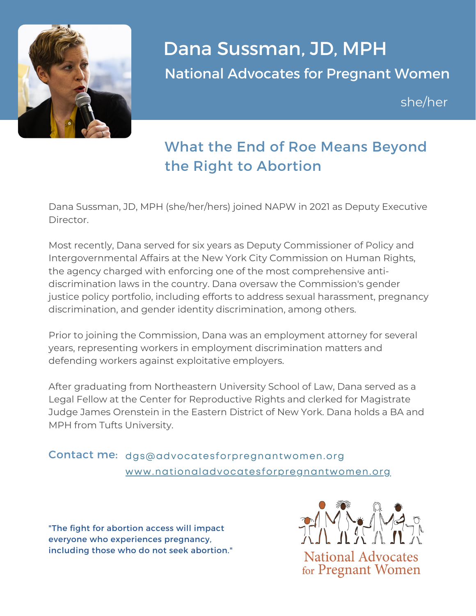

## Dana Sussman, JD, MPH National Advocates for Pregnant Women

she/her

## What the End of Roe Means Beyond the Right to Abortion

Dana Sussman, JD, MPH (she/her/hers) joined NAPW in 2021 as Deputy Executive Director.

Most recently, Dana served for six years as Deputy Commissioner of Policy and Intergovernmental Affairs at the New York City Commission on Human Rights, the agency charged with enforcing one of the most comprehensive antidiscrimination laws in the country. Dana oversaw the Commission's gender justice policy portfolio, including efforts to address sexual harassment, pregnancy discrimination, and gender identity discrimination, among others.

Prior to joining the Commission, Dana was an employment attorney for several years, representing workers in employment discrimination matters and defending workers against exploitative employers.

After graduating from Northeastern University School of Law, Dana served as a Legal Fellow at the Center for Reproductive Rights and clerked for Magistrate Judge James Orenstein in the Eastern District of New York. Dana holds a BA and MPH from Tufts University.

## Contact me: dgs@advocatesforpregnantwomen.org [www.nationaladvocatesforpregnantwomen.org](https://www.nationaladvocatesforpregnantwomen.org/)

"The fight for abortion access will impact everyone who experiences pregnancy, including those who do not seek abortion."